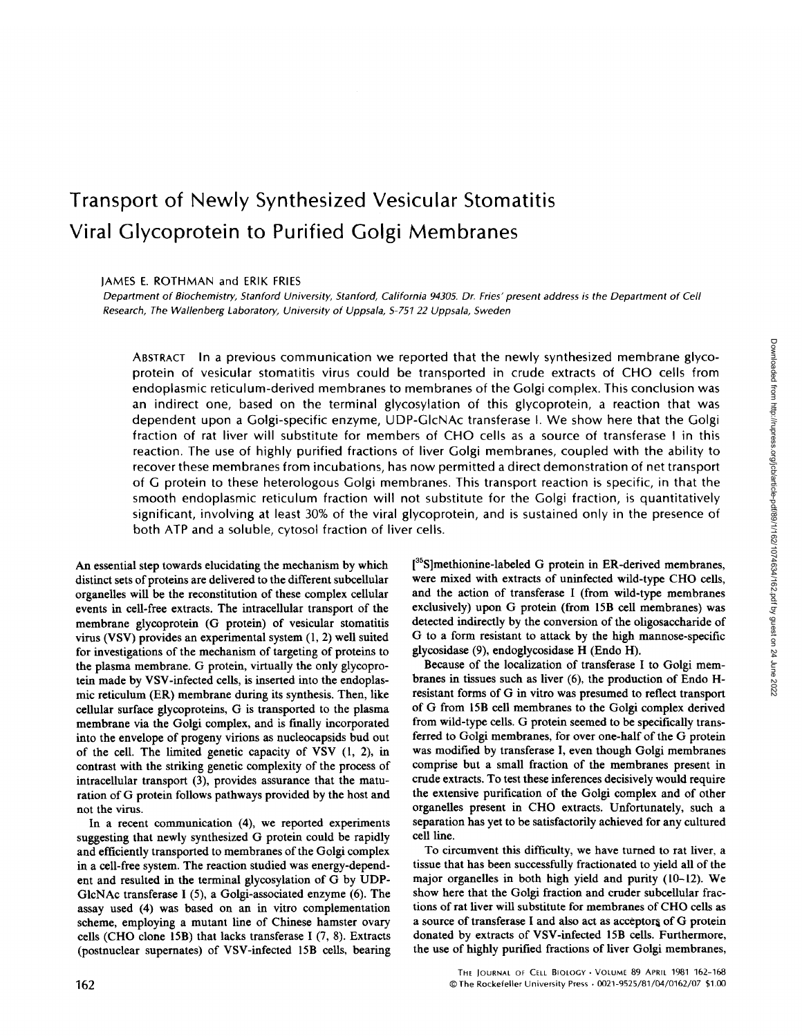# Transport of Newly Synthesized Vesicular Stomatitis Viral Glycoprotein to Purified Golgi Membranes

JAMES E. ROTHMAN and ERIK FRIES

Department of Biochemistry, Stanford University, Stanford, California 94305 Dr. Fries' present address is the Department of Cell Research, The Wallenberg Laboratory, University of Uppsala, S-75122 Uppsala, Sweden

ABSTRACT In <sup>a</sup> previous communication we reported that the newly synthesized membrane glycoprotein of vesicular stomatitis virus could be transported in crude extracts of CHO cells from endoplasmic reticulum-derived membranes to membranes of the Golgi complex. This conclusion was an indirect one, based on the terminal glycosylation of this glycoprotein, a reaction that was dependent upon a Golgi-specific enzyme, UDP-GlcNAc transferase I. We show here that the Golgi fraction of rat liver will substitute for members of CHO cells as a source of transferase <sup>I</sup> in this reaction. The use of highly purified fractions of liver Golgi membranes, coupled with the ability to recover these membranes from incubations, has now permitted <sup>a</sup> direct demonstration of net transport of G protein to these heterologous Golgi membranes. This transport reaction is specific, in that the smooth endoplasmic reticulum fraction will not substitute for the Golgi fraction, is quantitatively significant, involving at least 30% of the viral glycoprotein, and is sustained only in the presence of both ATP and a soluble, cytosol fraction of liver cells.

An essential step towards elucidating the mechanism by which distinct sets of proteins are delivered to the different subcellular organelles will be the reconstitution of these complex cellular events in cell-free extracts. The intracellular transport of the membrane glycoprotein (G protein) of vesicular stomatitis virus (VSV) provides an experimental system (1, 2) well suited for investigations of the mechanism of targeting of proteins to the plasma membrane. G protein, virtually the only glycoprotein made by VSV-infected cells, is inserted into the endoplasmic reticulum (ER) membrane during its synthesis . Then, like cellular surface glycoproteins, G is transported to the plasma membrane via the Golgi complex, and is finally incorporated into the envelope of progeny virions as nucleocapsids bud out of the cell. The limited genetic capacity of VSV (1, 2), in contrast with the striking genetic complexity of the process of intracellular transport (3), provides assurance that the maturation of G protein follows pathways provided by the host and not the virus.

In <sup>a</sup> recent communication (4), we reported experiments suggesting that newly synthesized G protein could be rapidly and efficiently transported to membranes of the Golgi complex in a cell-free system. The reaction studied was energy-dependent and resulted in the terminal glycosylation of G by UDP-GlcNAc transferase I (5), a Golgi-associated enzyme (6). The assay used (4) was based on an in vitro complementation scheme, employing a mutant line of Chinese hamster ovary cells (CHO clone 15B) that lacks transferase <sup>I</sup> (7, 8) . Extracts (postnuclear supernates) of VSV-infected 15B cells, bearing [<sup>35</sup>S]methionine-labeled G protein in ER-derived membranes, were mixed with extracts of uninfected wild-type CHO cells, and the action of transferase <sup>I</sup> (from wild-type membranes exclusively) upon G protein (from 15B cell membranes) was detected indirectly by the conversion of the oligosaccharide of G to <sup>a</sup> form resistant to attack by the high mannose-specific glycosidase (9), endoglycosidase H (Endo H).

Because of the localization of transferase <sup>I</sup> to Golgi membranes in tissues such as liver (6), the production of Endo Hresistant forms of G in vitro was presumed to reflect transport of G from 15B cell membranes to the Golgi complex derived from wild-type cells . G protein seemed to be specifically transferred to Golgi membranes, for over one-half of the G protein was modified by transferase I, even though Golgi membranes comprise but a small fraction of the membranes present in crude extracts. To test these inferences decisively would require the extensive purification of the Golgi complex and of other organelles present in CHO extracts. Unfortunately, such a separation has yet to be satisfactorily achieved for any cultured cell line.

To circumvent this difficulty, we have turned to rat liver, a tissue that has been successfully fractionated to yield all of the major organelles in both high yield and purity (10-12). We show here that the Golgi fraction and cruder subcellular fractions of rat liver will substitute for membranes of CHO cells as a source of transferase <sup>I</sup> and also act as acceptors of G protein donated by extracts of VSV-infected 15B cells. Furthermore, the use of highly purified fractions of liver Golgi membranes,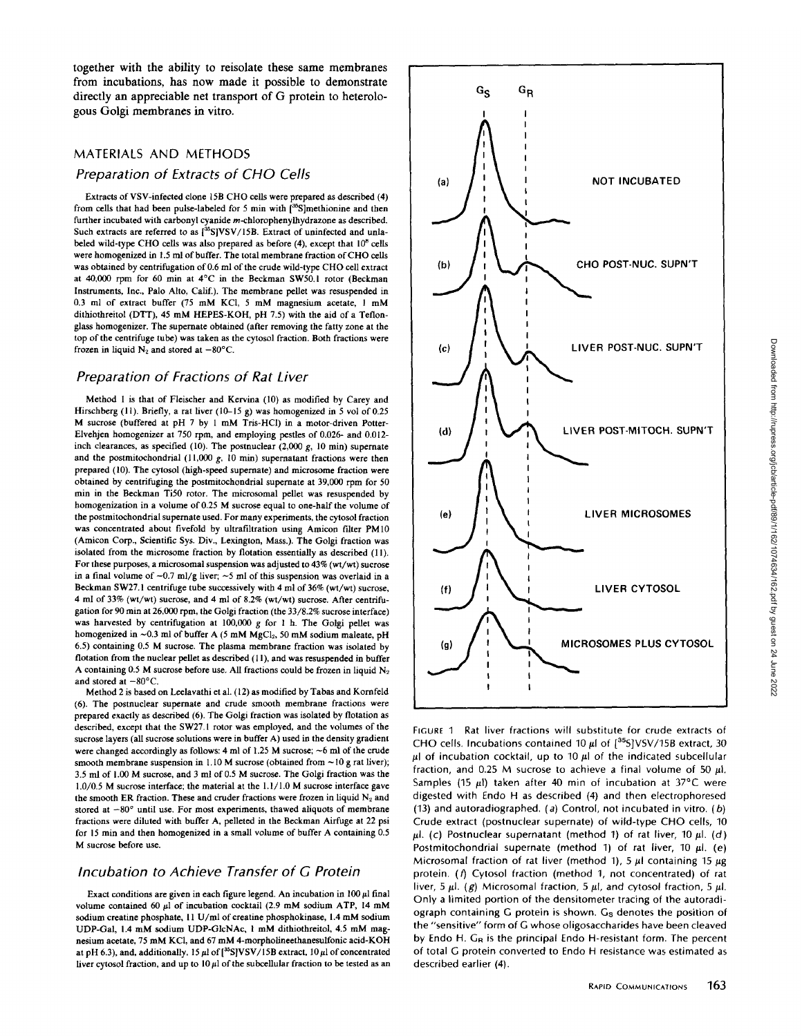together with the ability to reisolate these same membranes from incubations, has now made it possible to demonstrate directly an appreciable net transport of G protein to heterologous Golgi membranes in vitro.

## MATERIALS AND METHODS

### Preparation of Extracts of CHO Cells

Extracts of VSV-infected clone 15B CHO cells were prepared as described (4) from cells that had been pulse-labeled for 5 min with [<sup>35</sup>S]methionine and then further incubated with carbonyl cyanide m-chlorophenylhydrazone as described. Such extracts are referred to as  $[^{35}S]$ VSV/15B. Extract of uninfected and unlabeled wild-type CHO cells was also prepared as before (4), except that  $10^8$  cells were homogenized in 1.5 ml of buffer. The total membrane fraction of CHO cells was obtained by centrifugation of 0.6 ml of the crude wild-type CHO cell extract at 40,000 rpm for 60 min at 4°C in the Beckman SW50 .1 rotor (Beckman Instruments, Inc., Palo Alto, Calif.) . The membrane pellet was resuspended in 0.3 ml of extract buffer (75 mM KCI, <sup>5</sup> mM magnesium acetate, <sup>1</sup> mM dithiothreitol (DTT), 45 mM HEPES-KOH, pH 7.5) with the aid of <sup>a</sup> Teflonglass homogenizer. The supernate obtained (after removing the fatty zone at the top of the centrifuge tube) was taken as the cytosol fraction . Both fractions were frozen in liquid  $N_2$  and stored at  $-80^{\circ}$ C.

#### Preparation of Fractions of Rat Liver

Method <sup>I</sup> is that of Fleischer and Kervina (10) as modified by Carey and Hirschberg (11). Briefly, a rat liver (10-15 g) was homogenized in 5 vol of 0.25 M sucrose (buffered at pH 7 by <sup>1</sup> mM Tris-HCI) in <sup>a</sup> motor-driven Potter-Elvehjen homogenizer at 750 rpm, and employing pestles of 0.026- and 0.012 inch clearances, as specified (10). The postnuclear (2,000 g, 10 min) supernate and the postmitochondrial (11,000  $g$ , 10 min) supernatant fractions were then prepared (10) The cytosol (high-speed supernate) and microsome fraction were obtained by centrifuging the postmitochondrial supernate at 39,000 rpm for 50 min in the Beckman Ti50 rotor. The microsomal pellet was resuspended by homogenization in <sup>a</sup> volume of 0.25 M sucrose equal to one-half the volume of the postmitochondrial supernate used. For many experiments, the cytosol fraction was concentrated about fivefold by ultrafiltration using Amicon filter PM10 (Amicon Corp., Scientific Sys. Div., Lexington, Mass.). The Golgi fraction was isolated from the microsome fraction by flotation essentially as described (11). For these purposes, a microsomal suspension was adjusted to 43% (wt/wt) sucrose in a final volume of  $\sim 0.7$  ml/g liver;  $\sim 5$  ml of this suspension was overlaid in a Beckman SW27.1 centrifuge tube successively with 4 ml of 36% (wt/wt) sucrose, 4 ml of 33% (wt/wt) sucrose, and 4 ml of 8.2% (wt/wt) sucrose. After centrifugation for 90 min at 26,000 rpm, the Golgi fraction (the 33/8.2% sucrose interface) was harvested by centrifugation at 100,000 g for <sup>1</sup> h. The Golgi pellet was homogenized in  $\sim$ 0.3 ml of buffer A (5 mM MgCl<sub>2</sub>, 50 mM sodium maleate, pH 6.5) containing 0.5 M sucrose. The plasma membrane fraction was isolated by flotation from the nuclear pellet as described (11), and was resuspended in buffer A containing 0.5 M sucrose before use. All fractions could be frozen in liquid  $N_2$ and stored at  $-80^{\circ}$ C.

Method 2 is based on Leelavathi et al. (12) as modified by Tabas and Kornfeld (6) . The postnuclear supernate and crude smooth membrane fractions were prepared exactly as described (6). The Golgi fraction was isolated by flotation as described, except that the SW27 .1 rotor was employed, and the volumes of the sucrose layers (all sucrose solutionswere in buffer A) used in the density gradient were changed accordingly as follows: 4 ml of 1.25 M sucrose;  $\sim$  6 ml of the crude smooth membrane suspension in 1.10 M sucrose (obtained from  $\sim$  10 g rat liver); 3.5 ml of <sup>1</sup> .00 M sucrose, and <sup>3</sup> ml of 0.5 M sucrose. The Golgi fraction was the  $1.0/0.5$  M sucrose interface; the material at the  $1.1/1.0$  M sucrose interface gave the smooth ER fraction. These and cruder fractions were frozen in liquid  $N_2$  and stored at  $-80^\circ$  until use. For most experiments, thawed aliquots of membrane fractions were diluted with buffer A, pelleted in the Beckman Airfuge at 22 psi for 15 min and then homogenized in a small volume of buffer A containing 0.5 M sucrose before use.

## Incubation to Achieve Transfer of G Protein

Exact conditions are given in each figure legend. An incubation in  $100 \mu$ l final volume contained 60  $\mu$ l of incubation cocktail (2.9 mM sodium ATP, 14 mM sodium creatine phosphate, 11 U/ml of creatine phosphokinase, 1.4 mM sodium UDP-Gal, <sup>1</sup> .4 mM sodium UDP-G1cNAc, <sup>1</sup> mM dithiothreitol, 4.5 mM magnesium acetate, <sup>75</sup> mM KCI, and <sup>67</sup> mM 4-morpholineethanesulfonic acid-KOH at pH 6.3), and, additionally, 15  $\mu$ l of  $[^{35}S]$ VSV/15B extract, 10  $\mu$ l of concentrated liver cytosol fraction, and up to  $10 \mu l$  of the subcellular fraction to be tested as an



FIGURE 1 Rat liver fractions will substitute for crude extracts of CHO cells. Incubations contained 10  $\mu$  of  $[^{35}S]VSV/15B$  extract, 30  $\mu$ I of incubation cocktail, up to 10  $\mu$ I of the indicated subcellular fraction, and 0.25 M sucrose to achieve a final volume of 50  $\mu$ l. Samples (15  $\mu$ l) taken after 40 min of incubation at 37°C were digested with Endo H as described (4) and then electrophoresed (13) and autoradiographed. (a) Control, not incubated in vitro. (b) Crude extract (postnuclear supernate) of wild-type CHO cells, <sup>10</sup>  $\mu$ l. (c) Postnuclear supernatant (method 1) of rat liver, 10  $\mu$ l. (d) Postmitochondrial supernate (method 1) of rat liver, 10  $\mu$ l. (e)<br>Microsomal fraction of rat liver (method 1), 5  $\mu$ l containing 15  $\mu$ g protein. (f) Cytosol fraction (method 1, not concentrated) of rat liver, 5  $\mu$ l. (g) Microsomal fraction, 5  $\mu$ l, and cytosol fraction, 5  $\mu$ l. Only a limited portion of the densitometer tracing of the autoradiograph containing G protein is shown. Gs denotes the position of the "sensitive" form of G whose oligosaccharides have been cleaved by Endo H. GR is the principal Endo H-resistant form. The percent of total G protein converted to Endo H resistance was estimated as described earlier (4) .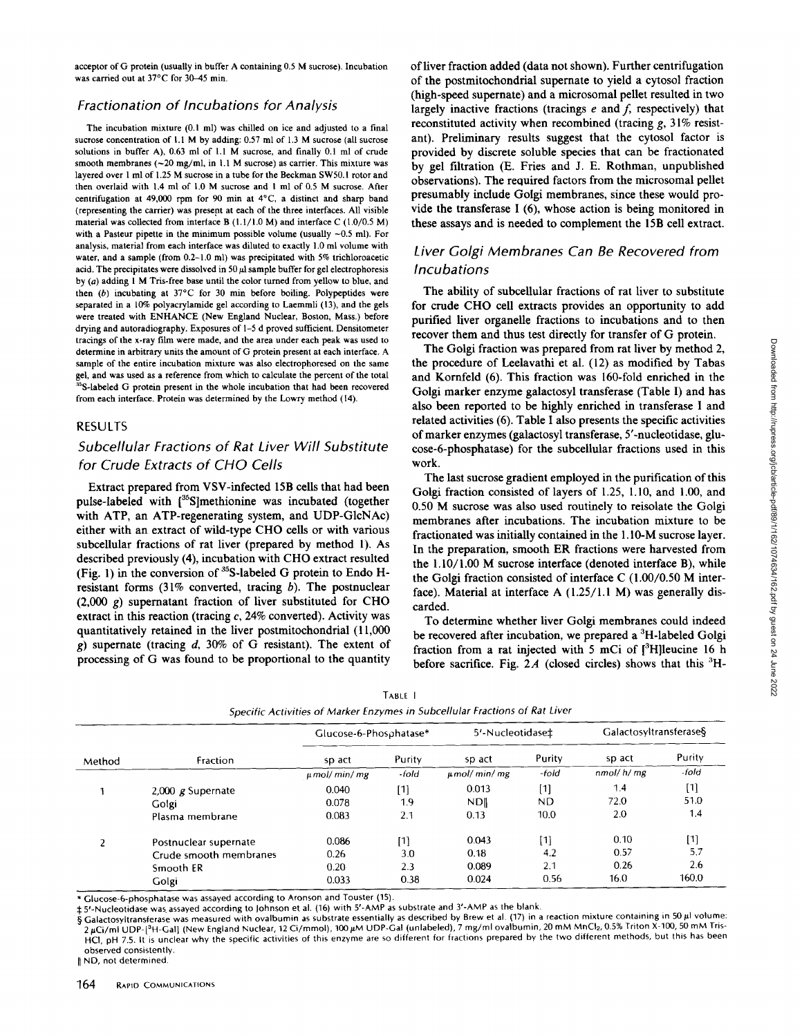acceptor of G protein (usually in buffer A containing 0.5 M sucrose). Incubation was carried out at 37°C for 30–45 min.

## Fractionation of Incubations for Analysis

The incubation mixture (0.1 ml) was chilled on ice and adjusted to a final sucrose concentration of 1.1 M by adding: 0.57 ml of 1.3 M sucrose (all sucrose solutions in buffer A), 0.63 ml of 1.1 M sucrose, and finally 0.1 ml of crude smooth membranes  $(-20 \text{ mg/ml}, \text{in } 1.1 \text{ M} \text{ sucrose})$  as carrier. This mixture was layered over 1 ml of 1.25 M sucrose in a tube for the Beckman SW50.1 rotor and then overlaid with 1.4 ml of 1.0 M sucrose and 1 ml of 0.5 M sucrose. After centrifugation at 49,000 rpm for 90 min at 4°C, a distinct and sharp band (representing the carrier) was present at each of the three interfaces . All visible material was collected from interface B  $(1.1/1.0 \text{ M})$  and interface C  $(1.0/0.5 \text{ M})$ with a Pasteur pipette in the minimum possible volume (usually  $\sim 0.5$  ml). For analysis, material from each interface was diluted to exactly <sup>1</sup> .0 ml volume with water, and a sample (from 0.2-1.0 ml) was precipitated with 5% trichloroacetic acid. The precipitates were dissolved in 50  $\mu$ l sample buffer for gel electrophoresis by (a) adding <sup>1</sup> M Tris-free base until the color turned from yellow to blue, and then  $(b)$  incubating at  $37^{\circ}$ C for 30 min before boiling. Polypeptides were separated in a 10% polyacrylamide gel according to Laemmli (13), and the gels were treated with ENHANCE (New England Nuclear, Boston, Mass.) before drying and autoradiography. Exposures of 1-5 d proved sufficient. Densitometer tracings of the x-ray film were made, and the area under each peak was used to determine in arbitrary units the amount of G protein present at each interface . A sample of the entire incubation mixture was also electrophoresed on the same gel, and was used as a reference from which to calculate the percent of the total <sup>5</sup>S-labeled G protein present in the whole incubation that had been recovered from each interface. Protein was determined by the Lowry method (14).

#### RESULTS

## Subcellular Fractions of Rat Liver Will Substitute for Crude Extracts of CHO Cells

Extract prepared from VSV-infected 15B cells that had been pulse-labeled with  $\int_{0}^{35}$ S]methionine was incubated (together with ATP, an ATP-regenerating system, and UDP-G1cNAc) either with an extract of wild-type CHO cells or with various subcellular fractions of rat liver (prepared by method 1), As described previously (4), incubation with CHO extract resulted (Fig. 1) in the conversion of  $35$ S-labeled G protein to Endo Hresistant forms  $(31\%$  converted, tracing b). The postnuclear  $(2,000 \text{ g})$  supernatant fraction of liver substituted for CHO extract in this reaction (tracing c, 24% converted). Activity was quantitatively retained in the liver postmitochondrial (11,000 g) supernate (tracing  $d$ , 30% of G resistant). The extent of processing of G was found to be proportional to the quantity

of liver fraction added (data not shown). Further centrifugation of the postmitochondrial supernate to yield a cytosol fraction (high-speed supernate) and a microsomal pellet resulted in two largely inactive fractions (tracings  $e$  and  $f$ , respectively) that reconstituted activity when recombined (tracing  $g$ , 31% resistant). Preliminary results suggest that the cytosol factor is provided by discrete soluble species that can be fractionated by gel filtration (E. Fries and <sup>J</sup> E. Rothman, unpublished observations). The required factors from the microsomal pellet presumably include Golgi membranes, since these would provide the transferase <sup>I</sup> (6), whose action is being monitored in these assays and is needed to complement the 15B cell extract.

## Liver Golgi Membranes Can Be Recovered from Incubations

The ability of subcellular fractions of rat liver to substitute for crude CHO cell extracts provides an opportunity to add purified liver organelle fractions to incubations and to then recover them and thus test directly for transfer of G protein.

The Golgi fraction was prepared from rat liver by method 2, the procedure of Leelavathi et al. (12) as modified by Tabas and Kornfeld (6). This fraction was 160-fold enriched in the Golgi marker enzyme galactosyl transferase (Table 1) and has also been reported to be highly enriched in transferase <sup>I</sup> and related activities (6). Table I also presents the specific activities of marker enzymes (galactosyl transferase, 5'-nucleotidase, glucose-6-phosphatase) for the subcellular fractions used in this work.

The last sucrose gradient employed in the purification of this Golgi fraction consisted of layers of 1.25, 1.10, and 1.00, and 0.50 M sucrose was also used routinely to reisolate the Golgi membranes after incubations. The incubation mixture to be fractionated was initially contained in the <sup>1</sup> .10-M sucrose layer. In the preparation, smooth ER fractions were harvested from the 1.10/1.00 M sucrose interface (denoted interface B), while the Golgi fraction consisted of interface C  $(1.00/0.50 \text{ M})$  interface). Material at interface A  $(1.25/1.1 \text{ M})$  was generally discarded.

To determine whether liver Golgi membranes could indeed be recovered after incubation, we prepared a  ${}^{3}$ H-labeled Golgi fraction from a rat injected with 5 mCi of  $[3H]$ leucine 16 h before sacrifice. Fig. 2A (closed circles) shows that this  ${}^{3}$ H-

|        |                        | Glucose-6-Phosphatase* |        | 5'-Nucleotidase‡ |           | Galactosyltransferase§ |        |
|--------|------------------------|------------------------|--------|------------------|-----------|------------------------|--------|
| Method | Fraction               | sp act                 | Purity | sp act           | Purity    | sp act                 | Purity |
|        |                        | $\mu$ mol/min/mg       | -fold  | $\mu$ mol/min/mg | -fold     | nmol/h/mg              | -fold  |
|        | 2,000 $g$ Supernate    | 0.040                  | [1]    | 0.013            | [1]       | 1.4                    | $[1]$  |
|        | Golgi                  | 0.078                  | 1.9    | <b>NDI</b>       | <b>ND</b> | 72.0                   | 51.0   |
|        | Plasma membrane        | 0.083                  | 2.1    | 0.13             | 10.0      | 2.0                    | 1.4    |
|        | Postnuclear supernate  | 0.086                  | [1]    | 0.043            | $[1]$     | 0.10                   | [1]    |
|        | Crude smooth membranes | 0.26                   | 3.0    | 0.18             | 4.2       | 0.57                   | 5.7    |
|        | Smooth ER              | 0.20                   | 2.3    | 0.089            | 2.1       | 0.26                   | 2.6    |
|        | Golgi                  | 0.033                  | 0.38   | 0.024            | 0.56      | 16.0                   | 160.0  |

| TABLE I                                                                     |  |
|-----------------------------------------------------------------------------|--|
| Specific Activities of Marker Enzymes in Subcellular Fractions of Rat Liver |  |

\* Glucose-6-phosphatase was assayed according to Aronson and Touster(15) .

 $\ddagger$  5'-Nucleotidase was assayed according to Johnson et al. (16) with 5'-AMP as substrate and 3'-AMP as the blank.

 $\S$  Galactosyltransferase was measured with ovalbumin as substrate essentially as described by Brew et al. (17) in a reaction mixture containing in 50 µl volume: 2 µCi/ml UDP-[<sup>3</sup>H-Gal] (New England Nuclear, 12 Ci/mmol), 100 µM UDP-Gal (unlabeled), 7 mg/ml ovalbumin, 20 mM MnCl2, 0.5% Triton X-100, 50 mM Tris-HCI, pH 7.5 It is unclear why the specific activities of this enzyme are so different for fractions prepared by the two different methods, but this has been observed consistently

```
~~ ND, not determined .
```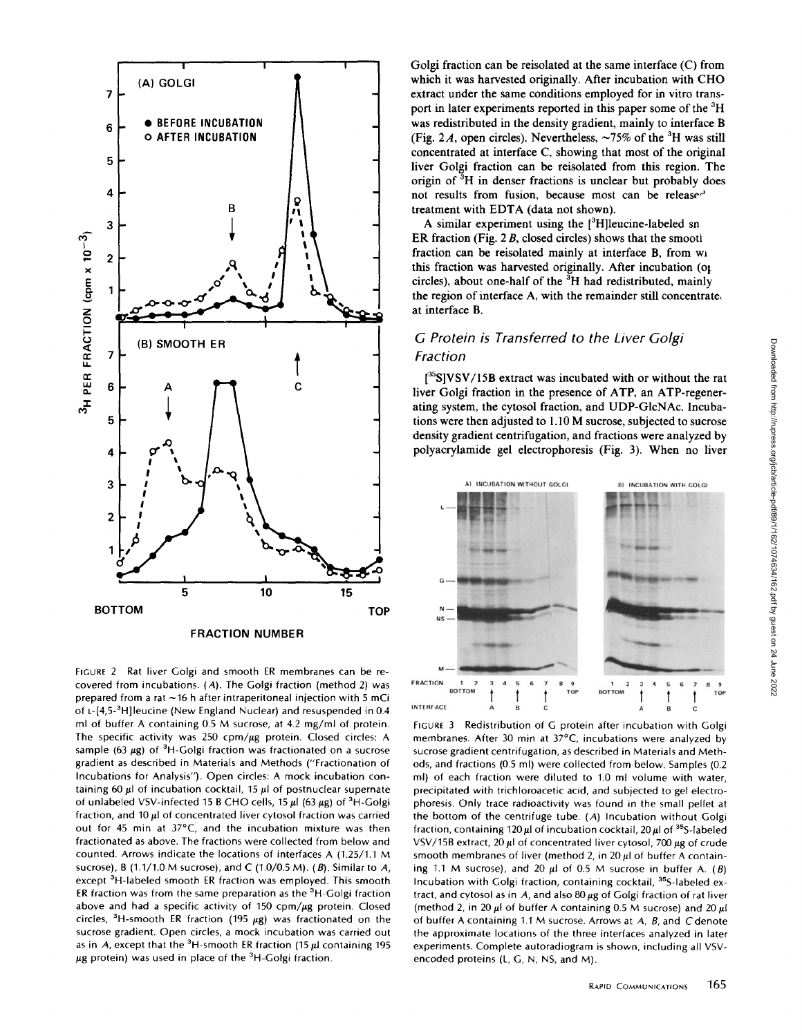

FIGURE 2 Rat liver Golgi and smooth ER membranes can be recovered from incubations. (A). The Golgi fraction (method 2) was prepared from a rat  $\sim$  16 h after intraperitoneal injection with 5 mCi of L-[4,5-<sup>3</sup>H]leucine (New England Nuclear) and resuspended in 0.4 ml of buffer A containing 0.5 M sucrose, at 4.2 mg/ml of protein. The specific activity was 250 cpm/ $\mu$ g protein. Closed circles: A sample (63  $\mu$ g) of <sup>3</sup>H-Golgi fraction was fractionated on a sucrose gradient as described in Materials and Methods ("Fractionation of Incubations for Analysis"). Open circles: A mock incubation containing 60  $\mu$ l of incubation cocktail, 15  $\mu$ l of postnuclear supernate of unlabeled VSV-infected 15 B CHO cells, 15  $\mu$ I (63  $\mu$ g) of <sup>3</sup>H-Golgi fraction, and 10  $\mu$ I of concentrated liver cytosol fraction was carried out for 45 min at 37°C, and the incubation mixture was then fractionated as above. The fractions were collected from below and counted. Arrows indicate the locations of interfaces A (1.25/1.1 M sucrose), B (1.1/1.0 M sucrose), and C (1.0/0.5 M). (B). Similar to A, except <sup>3</sup>H-labeled smooth ER fraction was employed. This smooth ER fraction was from the same preparation as the  ${}^{3}$ H-Golgi fraction above and had a specific activity of  $150 \text{ cm}/\mu\text{g}$  protein. Closed circles,  $3H$ -smooth ER fraction (195  $\mu$ g) was fractionated on the sucrose gradient. Open circles, a mock incubation was carried out as in A, except that the <sup>3</sup>H-smooth ER fraction (15  $\mu$ l containing 195  $\mu$ g protein) was used in place of the <sup>3</sup>H-Golgi fraction.

Golgi fraction can be reisolated at the same interface (C) from which it was harvested originally. After incubation with CHO extract under the same conditions employed for in vitro transport in later experiments reported in this paper some of the <sup>3</sup>H was redistributed in the density gradient, mainly to interface B (Fig. 2A, open circles). Nevertheless,  $\sim$ 75% of the <sup>3</sup>H was still concentrated at interface C, showing that most of the original liver Golgi fraction can be reisolated from this region. The origin of 3H in denser fractions is unclear but probably does not results from fusion, because most can be release' treatment with EDTA (data not shown).

A similar experiment using the  $[3H]$ leucine-labeled sn ER fraction (Fig. <sup>2</sup> B, closed circles) shows that the smootl fraction can be reisolated mainly at interface B, from wi this fraction was harvested originally. After incubation (of circles), about one-half of the  ${}^{3}H$  had redistributed, mainly the region of interface A, with the remainder still concentrate. at interface B.

# G Protein is Transferred to the Liver Golgi Fraction

 $[35S]VSV/15B$  extract was incubated with or without the rat liver Golgi fraction in the presence of ATP, an ATP-regenerating system, the cytosol fraction, and UDP-G1cNAc. Incubations were then adjusted to 1.10 M sucrose, subjected to sucrose density gradient centrifugation, and fractions were analyzed by polyacrylamide gel electrophoresis (Fig. 3). When no liver



FIGURE <sup>3</sup> Redistribution of G protein after incubation with Golgi membranes. After 30 min at 37°C, incubations were analyzed by sucrose gradient centrifugation, as described in Materials and Methods, and fractions (0.5 ml) were collected from below. Samples (0.2 ml) of each fraction were diluted to 1.0 ml volume with water, precipitated with trichloroacetic acid, and subjected to gel electrophoresis. Only trace radioactivity was found in the small pellet at the bottom of the centrifuge tube. (A) Incubation without Golgi fraction, containing 120  $\mu$ I of incubation cocktail, 20  $\mu$ I of <sup>35</sup>S-labeled VSV/15B extract, 20  $\mu$ l of concentrated liver cytosol, 700  $\mu$ g of crude smooth membranes of liver (method 2, in 20  $\mu$ l of buffer A containing 1.1 M sucrose), and 20  $\mu$ I of 0.5 M sucrose in buffer A. (B) Incubation with Golgi fraction, containing cocktail, <sup>35</sup>S-labeled extract, and cytosol as in  $A$ , and also 80  $\mu$ g of Golgi fraction of rat liver (method 2, in 20  $\mu$ l of buffer A containing 0.5 M sucrose) and 20  $\mu$ l of buffer A containing 1.1 M sucrose. Arrows at  $A$ ,  $B$ , and  $C$  denote the approximate locations of the three interfaces analyzed in later experiments . Complete autoradiogram is shown, including all VSVencoded proteins (L, G, N, NS, and M)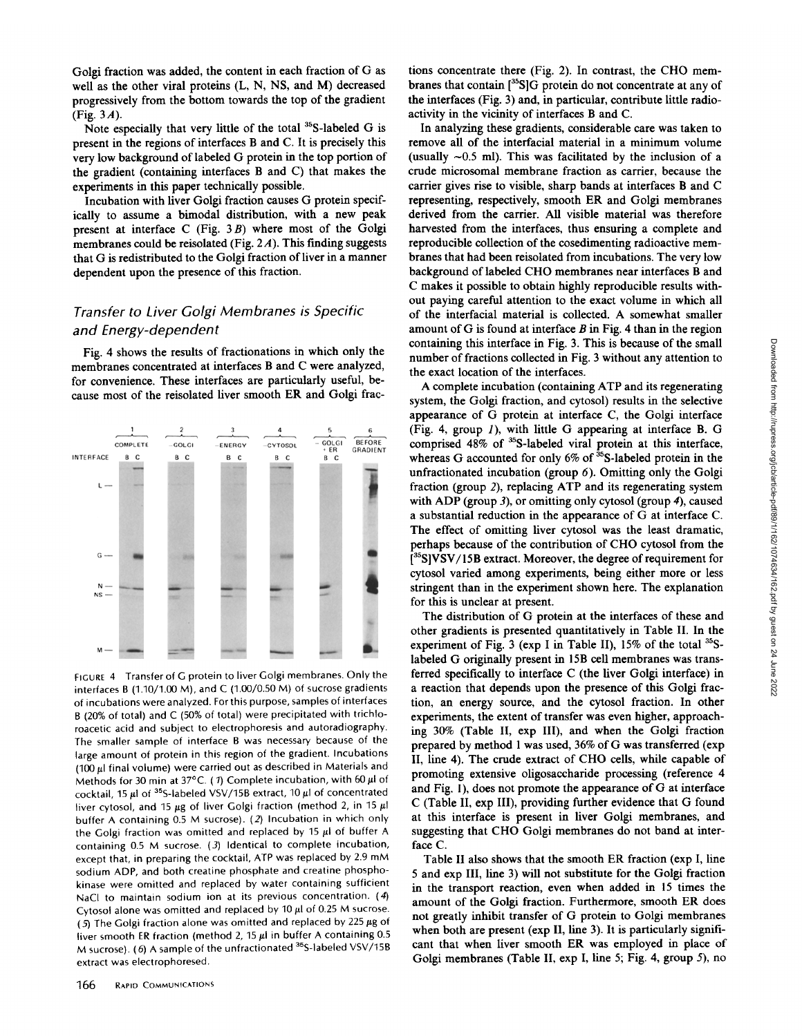Note especially that very little of the total 35S-labeled G is present in the regions of interfaces B and C. It is precisely this very low background of labeled G protein in the top portion of the gradient (containing interfaces B and C) that makes the experiments in this paper technically possible .

Incubation with liver Golgi fraction causes G protein specifically to assume a bimodal distribution, with a new peak present at interface  $C$  (Fig. 3B) where most of the Golgi membranes could be reisolated (Fig.  $2A$ ). This finding suggests that G is redistributed to the Golgi fraction of liver in a manner dependent upon the presence of this fraction.

# Transfer to Liver Golgi Membranes is Specific and Energy-dependent

Fig. 4 shows the results of fractionations in which only the membranes concentrated at interfaces B and C were analyzed, for convenience. These interfaces are particularly useful, because most of the reisolated liver smooth ER and Golgi frac-



FIGURE <sup>4</sup> Transfer of G protein to liver Golgi membranes Only the interfaces B (1.10/1.00 M), and C (1.00/0.50 M) of sucrose gradients of incubations were analyzed . Forthis purpose, samples of interfaces <sup>B</sup> (20% of total) and C (50% of total) were precipitated with trichloroacetic acid and subject to electrophoresis and autoradiography The smaller sample of interface B was necessary because of the large amount of protein in this region of the gradient. Incubations (100  $\mu$ I final volume) were carried out as described in Materials and Methods for 30 min at 37°C. (1) Complete incubation, with 60  $\mu$ I of cocktail, 15  $\mu$ l of <sup>35</sup>S-labeled VSV/15B extract, 10  $\mu$ l of concentrated liver cytosol, and 15  $\mu$ g of liver Golgi fraction (method 2, in 15  $\mu$ l buffer A containing 0.5 M sucrose). (2) Incubation in which only the Golgi fraction was omitted and replaced by 15  $\mu$ I of buffer A containing 0.5 M sucrose. (3) Identical to complete incubation, except that, in preparing the cocktail, ATP was replaced by 2.9 mM sodium ADP, and both creatine phosphate and creatine phosphokinase were omitted and replaced by water containing sufficient NaCl to maintain sodium ion at its previous concentration. (4) Cytosol alone was omitted and replaced by 10  $\mu$ l of 0.25 M sucrose. (5) The Golgi fraction alone was omitted and replaced by 225  $\mu$ g of liver smooth ER fraction (method 2, 15  $\mu$ l in buffer A containing 0.5 M sucrose). (6) A sample of the unfractionated  $35S$ -labeled VSV/15B extract was electrophoresed .

tions concentrate there (Fig. 2). In contrast, the CHO membranes that contain  $[35S]$ G protein do not concentrate at any of the interfaces (Fig. 3) and, in particular, contribute little radioactivity in the vicinity of interfaces B and C.

In analyzing these gradients, considerable care was taken to remove all of the interfacial material in a minimum volume (usually  $\sim$ 0.5 ml). This was facilitated by the inclusion of a crude microsomal membrane fraction as carrier, because the carrier gives rise to visible, sharp bands at interfaces B and C representing, respectively, smooth ER and Golgi membranes derived from the carrier. All visible material was therefore harvested from the interfaces, thus ensuring a complete and reproducible collection of the cosedimenting radioactive membranes that had been reisolated from incubations. The very low background of labeled CHO membranes near interfaces B and C makes it possible to obtain highly reproducible results without paying careful attention to the exact volume in which all of the interfacial material is collected. A somewhat smaller amount of G is found at interface  $B$  in Fig. 4 than in the region containing this interface in Fig. 3. This is because of the small number of fractions collected in Fig. 3 without any attention to the exact location of the interfaces .

A complete incubation (containing ATPand its regenerating system, the Golgi fraction, and cytosol) results in the selective appearance of G protein at interface C, the Golgi interface (Fig. 4, group 1), with little G appearing at interface B. G comprised 48% of <sup>35</sup>S-labeled viral protein at this interface, whereas G accounted for only  $6\%$  of  $35$ -labeled protein in the unfractionated incubation (group 6). Omitting only the Golgi fraction (group 2), replacing ATP and its regenerating system with ADP (group 3), or omitting only cytosol (group 4), caused a substantial reduction in the appearance of G at interface C. The effect of omitting liver cytosol was the least dramatic, perhaps because of the contribution of CHO cytosol from the [<sup>35</sup>S]VSV/15B extract. Moreover, the degree of requirement for cytosol varied among experiments, being either more or less stringent than in the experiment shown here. The explanation for this is unclear at present.

The distribution of G protein at the interfaces of these and other gradients is presented quantitatively in Table II . In the experiment of Fig. 3 (exp I in Table II),  $15\%$  of the total  $35$ Slabeled G originally present in 15B cell membranes was transferred specifically to interface C (the liver Golgi interface) in a reaction that depends upon the presence of this Golgi fraction, an energy source, and the cytosol fraction. In other experiments, the extent of transfer was even higher, approaching 30% (Table 11, exp III), and when the Golgi fraction prepared by method <sup>1</sup> was used, 36% of Gwas transferred (exp 11, line 4) . The crude extract of CHO cells, while capable of promoting extensive oligosaccharide processing (reference 4 and Fig. 1), does not promote the appearance of G at interface C (Table II, exp III), providing further evidence that G found at this interface is present in liver Golgi membranes, and suggesting that CHO Golgi membranes do not band at interface C.

Table II also shows that the smooth ER fraction (exp I, line 5 and exp III, line 3) will not substitute for the Golgi fraction in the transport reaction, even when added in 15 times the amount of the Golgi fraction. Furthermore, smooth ER does not greatly inhibit transfer of G protein to Golgi membranes when both are present (exp II, line 3). It is particularly significant that when liver smooth ER was employed in place of Golgi membranes (Table II, exp I, line 5; Fig. 4, group 5), no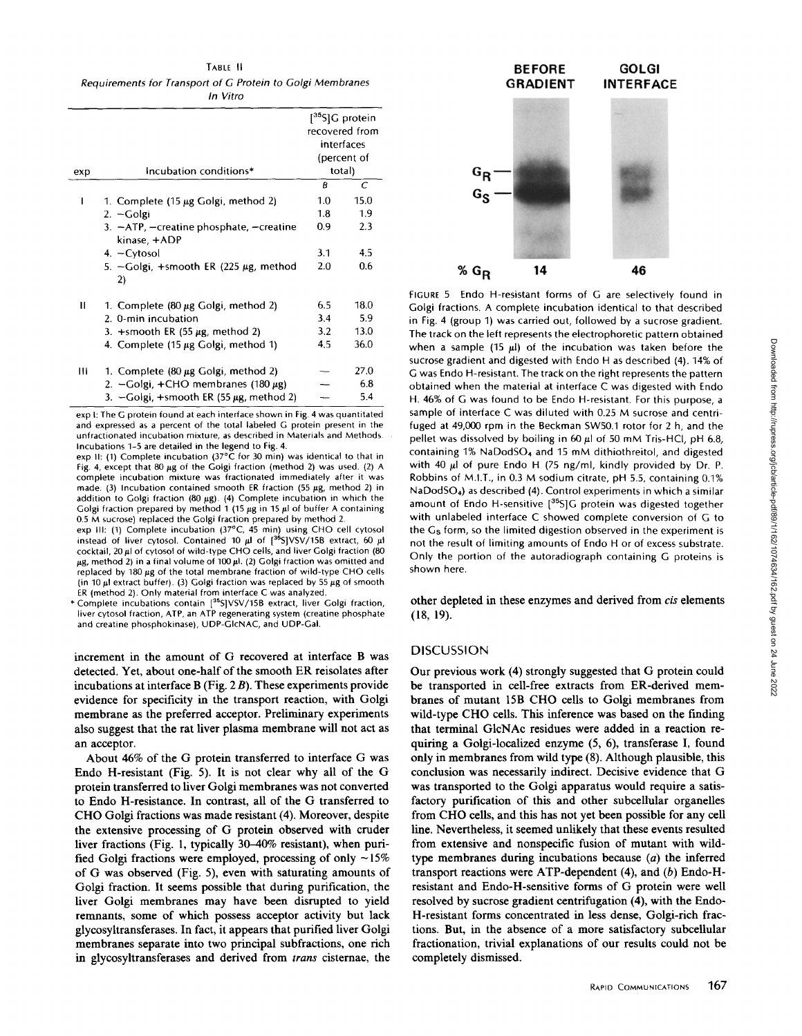TABLE II Requirements for Transport of G Protein to Golgi Membranes In Vitro

| exp | Incubation conditions*                                           | $[$ <sup>35</sup> S]G protein<br>recovered from<br>interfaces<br>(percent of<br>total) |      |
|-----|------------------------------------------------------------------|----------------------------------------------------------------------------------------|------|
|     |                                                                  | B                                                                                      | С    |
| ı   | 1. Complete (15 µg Golgi, method 2)                              | 1.0                                                                                    | 15.0 |
|     | $2. - Golgi$                                                     | 1.8                                                                                    | 1.9  |
|     | 3. $-ATP$ , $-$ creatine phosphate, $-$ creatine<br>kinase, +ADP | 0.9                                                                                    | 2.3  |
|     | 4. - Cytosol                                                     | 3.1                                                                                    | 4.5  |
|     | 5. - Golgi, +smooth ER (225 µg, method<br>2)                     | 2.0                                                                                    | 0.6  |
| п   | 1. Complete $(80 \mu g)$ Golgi, method 2)                        | 6.5                                                                                    | 18.0 |
|     | 2. 0-min incubation                                              | 3.4                                                                                    | 5.9  |
|     | 3. $+$ smooth ER (55 $\mu$ g, method 2)                          | 3.2                                                                                    | 13.0 |
|     | 4. Complete $(15 \mu g$ Golgi, method 1)                         | 4.5                                                                                    | 36.0 |
| Ш   | 1. Complete $(80 \mu g)$ Golgi, method 2)                        |                                                                                        | 27.0 |
|     | 2. $-Golgi$ , +CHO membranes (180 $\mu$ g)                       |                                                                                        | 6.8  |
|     | 3. $-Golgi$ , +smooth ER (55 $\mu$ g, method 2)                  |                                                                                        | 5.4  |

exp I: The G protein found at each interface shown in Fig. 4 was quantitated and expressed as a percent of the total labeled G protein present in the unfractionated incubation mixture, as described in Materials and Methods. Incubations 1-5 are detailed in the legend to Fig. 4.

exp II: (1) Complete incubation  $(37^{\circ} \tilde{C}$  for 30 min) was identical to that in Fig. 4, except that 80  $\mu$ g of the Golgi fraction (method 2) was used. (2) A complete incubation mixture was fractionated immediately after it was made. (3) Incubation contained smooth ER fraction (55  $\mu$ g, method 2) in addition to Golgi fraction (80  $\mu$ g). (4) Complete incubation in which the Golgi fraction prepared by method 1 (15  $\mu$ g in 15  $\mu$ l of buffer A containing

0.5 M sucrose) replaced the Golgi fraction prepared by method 2.<br>exp III: (1) Complete incubation (37°C, 45 min) using CHO cell cytosol instead of liver cytosol. Contained 10  $\mu$ l of  $[^{36}S]VSV/15B$  extract, 60  $\mu$ l cocktail, <sup>20</sup> pl of cytosol of wild-type CHO cells, and liver Golgi fraction (80  $\mu$ g, method 2) in a final volume of 100 $\mu$ l. (2) Golgi fraction was omitted and replaced by  $180 \mu g$  of the total membrane fraction of wild-type CHO cells (in 10  $\mu$ l extract buffer). (3) Golgi fraction was replaced by 55  $\mu$ g of smooth

ER (method 2) Only material from interface C was analyzed \* Complete incubations contain [35 SIVSV/15B extract, liver Golgi fraction, liver cytosol fraction, ATP, an ATP regenerating system (creatine phosphate and creatine phosphokinase), UDP-GIcNAC, and UDP-Gal.

increment in the amount of G recovered at interface B was detected. Yet, about one-half of the smooth ER reisolates after incubations at interface B (Fig. 2 B) . These experiments provide evidence for specificity in the transport reaction, with Golgi membrane as the preferred acceptor. Preliminary experiments also suggest that the rat liver plasma membrane will not act as an acceptor.

About 46% of the G protein transferred to interface G was Endo H-resistant (Fig. 5). It is not clear why all of the  $G$ protein transferred to liver Golgi membranes was not converted to Endo H-resistance. In contrast, all of the G transferred to CHO Golgi fractions was made resistant (4) . Moreover, despite the extensive processing of G protein observed with cruder liver fractions (Fig. 1, typically 30-40% resistant), when purified Golgi fractions were employed, processing of only  $\sim$ 15% of G was observed (Fig. 5), even with saturating amounts of Golgi fraction. It seems possible that during purification, the liver Golgi membranes may have been disrupted to yield remnants, some of which possess acceptor activity but lack glycosyltransferases. In fact, it appears that purified liver Golgi membranes separate into two principal subfractions, one rich in glycosyltransferases and derived from trans cisternae, the



FIGURE <sup>5</sup> Endo H-resistant forms of G are selectively found in Golgi fractions. A complete incubation identical to that described in Fig. 4 (group 1) was carried out, followed by a sucrose gradient. The track on the left represents the electrophoretic pattern obtained when a sample (15  $\mu$ I) of the incubation was taken before the sucrose gradient and digested with Endo H as described (4). 14% of G was Endo H-resistant. The track on the right represents the pattern obtained when the material at interface C was digested with Endo H. 46% of G was found to be Endo H-resistant. For this purpose, <sup>a</sup> sample of interface C was diluted with 0.25 M sucrose and centrifuged at 49,000 rpm in the Beckman SW50.1 rotor for 2 h, and the pellet was dissolved by boiling in 60  $\mu$ l of 50 mM Tris-HCl, pH 6.8, containing 1% NaDodS04 and <sup>15</sup> mM dithiothreitol, and digested with 40  $\mu$ I of pure Endo H (75 ng/ml, kindly provided by Dr. P. Robbins of M.I.T., in 0.3 M sodium citrate, pH 5.5, containing 0.1% NaDodS04) as described (4) Control experiments in which <sup>a</sup> similar amount of Endo H-sensitive [<sup>35</sup>S]G protein was digested together with unlabeled interface C showed complete conversion of G to the Gs form, so the limited digestion observed in the experiment is not the result of limiting amounts of Endo H or of excess substrate. Only the portion of the autoradiograph containing G proteins is shown here.

other depleted in these enzymes and derived from cis elements  $(18, 19)$ .

#### **DISCUSSION**

Our previous work (4) strongly suggested that G protein could be transported in cell-free extracts from ER-derived membranes of mutant 15B CHO cells to Golgi membranes from wild-type CHO cells. This inference was based on the finding that terminal G1cNAc residues were added in a reaction requiring a Golgi-localized enzyme (5, 6), transferase I, found only in membranes from wild type (8). Although plausible, this conclusion was necessarily indirect. Decisive evidence that G was transported to the Golgi apparatus would require a satisfactory purification of this and other subcellular organelles from CHO cells, and this has not yet been possible for any cell line. Nevertheless, it seemed unlikely that these events resulted from extensive and nonspecific fusion of mutant with wildtype membranes during incubations because (a) the inferred transport reactions were ATP-dependent (4), and (b) Endo-Hresistant and Endo-H-sensitive forms of G protein were well resolved by sucrose gradient centrifugation (4), with the Endo-H-resistant forms concentrated in less dense, Golgi-rich fractions. But, in the absence of a more satisfactory subcellular fractionation, trivial explanations of our results could not be completely dismissed .